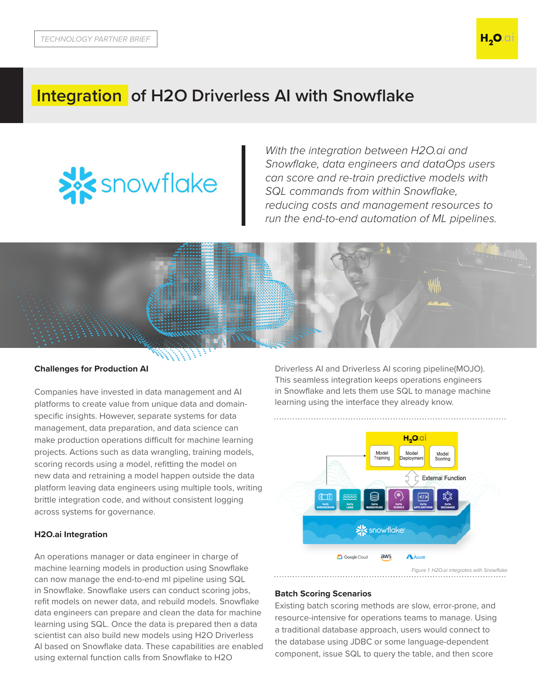

**H<sub>2</sub>O.**o

# **Integration of H2O Driverless AI with Snowflake**



*With the integration between H2O.ai and Snowflake, data engineers and dataOps users can score and re-*train *predictive models with SQL commands from within Snowflake, reducing costs and management resources to run the end-to-end automation of ML pipelines.*



### **Challenges for Production AI**

Companies have invested in data management and AI platforms to create value from unique data and domainspecific insights. However, separate systems for data management, data preparation, and data science can make production operations difficult for machine learning projects. Actions such as data wrangling, training models, scoring records using a model, refitting the model on new data and retraining a model happen outside the data platform leaving data engineers using multiple tools, writing brittle integration code, and without consistent logging across systems for governance.

### **H2O.ai Integration**

An operations manager or data engineer in charge of machine learning models in production using Snowflake can now manage the end-to-end ml pipeline using SQL in Snowflake. Snowflake users can conduct scoring jobs, refit models on newer data, and rebuild models. Snowflake data engineers can prepare and clean the data for machine learning using SQL. Once the data is prepared then a data scientist can also build new models using H2O Driverless AI based on Snowflake data. These capabilities are enabled using external function calls from Snowflake to H2O

Driverless AI and Driverless AI scoring pipeline(MOJO). This seamless integration keeps operations engineers in Snowflake and lets them use SQL to manage machine learning using the interface they already know.



*Figure 1: H2O.ai integrates with Snowflake*

## **Batch Scoring Scenarios**

Existing batch scoring methods are slow, error-prone, and resource-intensive for operations teams to manage. Using a traditional database approach, users would connect to the database using JDBC or some language-dependent component, issue SQL to query the table, and then score